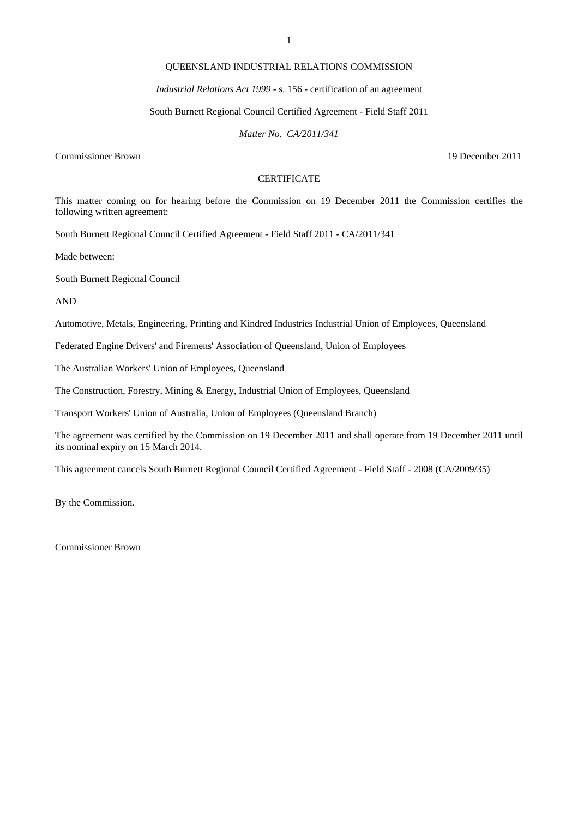# QUEENSLAND INDUSTRIAL RELATIONS COMMISSION

### *Industrial Relations Act 1999* - s. 156 - certification of an agreement

#### South Burnett Regional Council Certified Agreement - Field Staff 2011

*Matter No. CA/2011/341* 

Commissioner Brown 19 December 2011

# **CERTIFICATE**

This matter coming on for hearing before the Commission on 19 December 2011 the Commission certifies the following written agreement:

South Burnett Regional Council Certified Agreement - Field Staff 2011 - CA/2011/341

Made between:

South Burnett Regional Council

AND

Automotive, Metals, Engineering, Printing and Kindred Industries Industrial Union of Employees, Queensland

Federated Engine Drivers' and Firemens' Association of Queensland, Union of Employees

The Australian Workers' Union of Employees, Queensland

The Construction, Forestry, Mining & Energy, Industrial Union of Employees, Queensland

Transport Workers' Union of Australia, Union of Employees (Queensland Branch)

The agreement was certified by the Commission on 19 December 2011 and shall operate from 19 December 2011 until its nominal expiry on 15 March 2014.

This agreement cancels South Burnett Regional Council Certified Agreement - Field Staff - 2008 (CA/2009/35)

By the Commission.

Commissioner Brown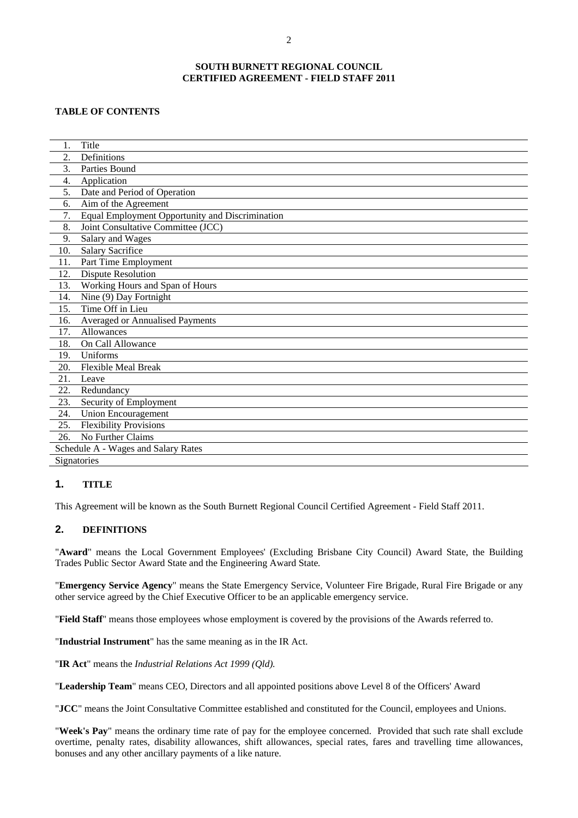### **SOUTH BURNETT REGIONAL COUNCIL CERTIFIED AGREEMENT - FIELD STAFF 2011**

## **TABLE OF CONTENTS**

| 1.  | Title                                           |
|-----|-------------------------------------------------|
| 2.  | Definitions                                     |
| 3.  | Parties Bound                                   |
| 4.  | Application                                     |
| 5.  | Date and Period of Operation                    |
| 6.  | Aim of the Agreement                            |
| 7.  | Equal Employment Opportunity and Discrimination |
| 8.  | Joint Consultative Committee (JCC)              |
| 9.  | Salary and Wages                                |
| 10. | <b>Salary Sacrifice</b>                         |
| 11. | Part Time Employment                            |
| 12. | <b>Dispute Resolution</b>                       |
| 13. | Working Hours and Span of Hours                 |
| 14. | Nine (9) Day Fortnight                          |
| 15. | Time Off in Lieu                                |
| 16. | <b>Averaged or Annualised Payments</b>          |
| 17. | Allowances                                      |
| 18. | On Call Allowance                               |
| 19. | Uniforms                                        |
| 20. | <b>Flexible Meal Break</b>                      |
| 21. | Leave                                           |
| 22. | Redundancy                                      |
| 23. | Security of Employment                          |
| 24. | <b>Union Encouragement</b>                      |
| 25. | <b>Flexibility Provisions</b>                   |
| 26. | No Further Claims                               |
|     | Schedule A - Wages and Salary Rates             |
|     | Signatories                                     |

# **1. TITLE**

This Agreement will be known as the South Burnett Regional Council Certified Agreement - Field Staff 2011.

# **2. DEFINITIONS**

"**Award**" means the Local Government Employees' (Excluding Brisbane City Council) Award State, the Building Trades Public Sector Award State and the Engineering Award State*.* 

"**Emergency Service Agency**" means the State Emergency Service, Volunteer Fire Brigade, Rural Fire Brigade or any other service agreed by the Chief Executive Officer to be an applicable emergency service.

"**Field Staff**" means those employees whose employment is covered by the provisions of the Awards referred to.

"**Industrial Instrument**" has the same meaning as in the IR Act.

"**IR Act**" means the *Industrial Relations Act 1999 (Qld).* 

"**Leadership Team**" means CEO, Directors and all appointed positions above Level 8 of the Officers' Award

"**JCC**" means the Joint Consultative Committee established and constituted for the Council, employees and Unions.

"**Week's Pay**" means the ordinary time rate of pay for the employee concerned. Provided that such rate shall exclude overtime, penalty rates, disability allowances, shift allowances, special rates, fares and travelling time allowances, bonuses and any other ancillary payments of a like nature.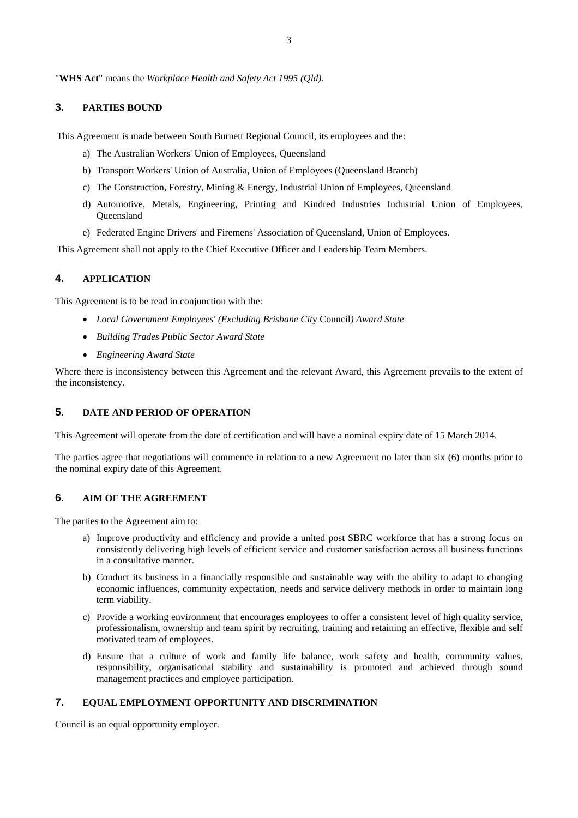# **3. PARTIES BOUND**

This Agreement is made between South Burnett Regional Council, its employees and the:

- a) The Australian Workers' Union of Employees, Queensland
- b) Transport Workers' Union of Australia, Union of Employees (Queensland Branch)
- c) The Construction, Forestry, Mining & Energy, Industrial Union of Employees, Queensland
- d) Automotive, Metals, Engineering, Printing and Kindred Industries Industrial Union of Employees, **Oueensland**
- e) Federated Engine Drivers' and Firemens' Association of Queensland, Union of Employees.

This Agreement shall not apply to the Chief Executive Officer and Leadership Team Members.

# **4. APPLICATION**

This Agreement is to be read in conjunction with the:

- *Local Government Employees' (Excluding Brisbane Cit*y Council*) Award State*
- *Building Trades Public Sector Award State*
- *Engineering Award State*

Where there is inconsistency between this Agreement and the relevant Award, this Agreement prevails to the extent of the inconsistency.

# **5. DATE AND PERIOD OF OPERATION**

This Agreement will operate from the date of certification and will have a nominal expiry date of 15 March 2014.

The parties agree that negotiations will commence in relation to a new Agreement no later than six (6) months prior to the nominal expiry date of this Agreement.

#### **6. AIM OF THE AGREEMENT**

The parties to the Agreement aim to:

- a) Improve productivity and efficiency and provide a united post SBRC workforce that has a strong focus on consistently delivering high levels of efficient service and customer satisfaction across all business functions in a consultative manner.
- b) Conduct its business in a financially responsible and sustainable way with the ability to adapt to changing economic influences, community expectation, needs and service delivery methods in order to maintain long term viability.
- c) Provide a working environment that encourages employees to offer a consistent level of high quality service, professionalism, ownership and team spirit by recruiting, training and retaining an effective, flexible and self motivated team of employees.
- d) Ensure that a culture of work and family life balance, work safety and health, community values, responsibility, organisational stability and sustainability is promoted and achieved through sound management practices and employee participation.

# **7. EQUAL EMPLOYMENT OPPORTUNITY AND DISCRIMINATION**

Council is an equal opportunity employer.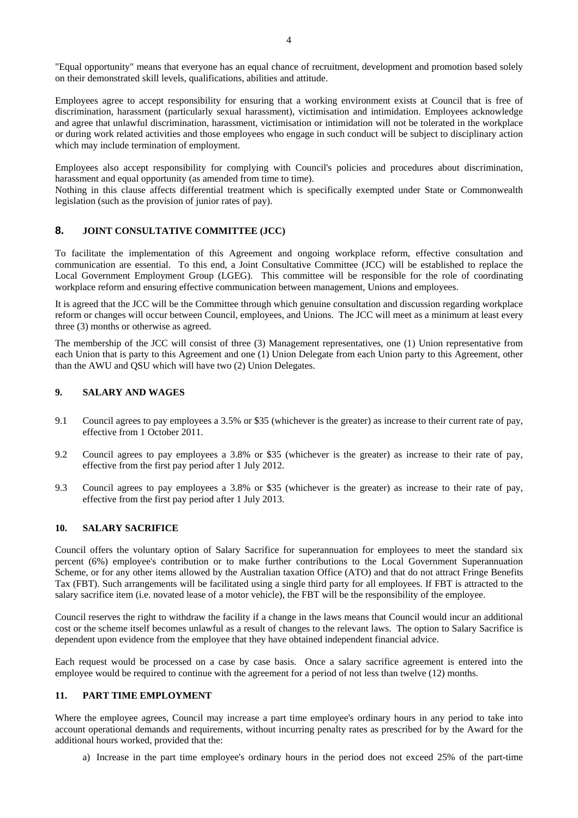"Equal opportunity" means that everyone has an equal chance of recruitment, development and promotion based solely on their demonstrated skill levels, qualifications, abilities and attitude.

Employees agree to accept responsibility for ensuring that a working environment exists at Council that is free of discrimination, harassment (particularly sexual harassment), victimisation and intimidation. Employees acknowledge and agree that unlawful discrimination, harassment, victimisation or intimidation will not be tolerated in the workplace or during work related activities and those employees who engage in such conduct will be subject to disciplinary action which may include termination of employment.

Employees also accept responsibility for complying with Council's policies and procedures about discrimination, harassment and equal opportunity (as amended from time to time).

Nothing in this clause affects differential treatment which is specifically exempted under State or Commonwealth legislation (such as the provision of junior rates of pay).

# **8. JOINT CONSULTATIVE COMMITTEE (JCC)**

To facilitate the implementation of this Agreement and ongoing workplace reform, effective consultation and communication are essential. To this end, a Joint Consultative Committee (JCC) will be established to replace the Local Government Employment Group (LGEG). This committee will be responsible for the role of coordinating workplace reform and ensuring effective communication between management, Unions and employees.

It is agreed that the JCC will be the Committee through which genuine consultation and discussion regarding workplace reform or changes will occur between Council, employees, and Unions. The JCC will meet as a minimum at least every three (3) months or otherwise as agreed.

The membership of the JCC will consist of three (3) Management representatives, one (1) Union representative from each Union that is party to this Agreement and one (1) Union Delegate from each Union party to this Agreement, other than the AWU and QSU which will have two (2) Union Delegates.

### **9. SALARY AND WAGES**

- 9.1 Council agrees to pay employees a 3.5% or \$35 (whichever is the greater) as increase to their current rate of pay, effective from 1 October 2011.
- 9.2 Council agrees to pay employees a 3.8% or \$35 (whichever is the greater) as increase to their rate of pay, effective from the first pay period after 1 July 2012.
- 9.3 Council agrees to pay employees a 3.8% or \$35 (whichever is the greater) as increase to their rate of pay, effective from the first pay period after 1 July 2013.

# **10. SALARY SACRIFICE**

Council offers the voluntary option of Salary Sacrifice for superannuation for employees to meet the standard six percent (6%) employee's contribution or to make further contributions to the Local Government Superannuation Scheme, or for any other items allowed by the Australian taxation Office (ATO) and that do not attract Fringe Benefits Tax (FBT). Such arrangements will be facilitated using a single third party for all employees. If FBT is attracted to the salary sacrifice item (i.e. novated lease of a motor vehicle), the FBT will be the responsibility of the employee.

Council reserves the right to withdraw the facility if a change in the laws means that Council would incur an additional cost or the scheme itself becomes unlawful as a result of changes to the relevant laws. The option to Salary Sacrifice is dependent upon evidence from the employee that they have obtained independent financial advice.

Each request would be processed on a case by case basis. Once a salary sacrifice agreement is entered into the employee would be required to continue with the agreement for a period of not less than twelve (12) months.

# **11. PART TIME EMPLOYMENT**

Where the employee agrees, Council may increase a part time employee's ordinary hours in any period to take into account operational demands and requirements, without incurring penalty rates as prescribed for by the Award for the additional hours worked, provided that the:

a) Increase in the part time employee's ordinary hours in the period does not exceed 25% of the part-time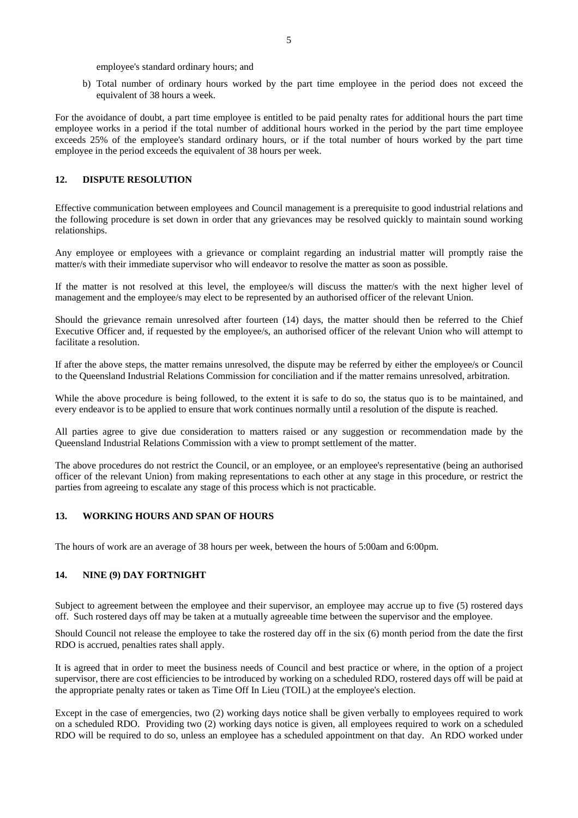employee's standard ordinary hours; and

b) Total number of ordinary hours worked by the part time employee in the period does not exceed the equivalent of 38 hours a week.

For the avoidance of doubt, a part time employee is entitled to be paid penalty rates for additional hours the part time employee works in a period if the total number of additional hours worked in the period by the part time employee exceeds 25% of the employee's standard ordinary hours, or if the total number of hours worked by the part time employee in the period exceeds the equivalent of 38 hours per week.

# **12. DISPUTE RESOLUTION**

Effective communication between employees and Council management is a prerequisite to good industrial relations and the following procedure is set down in order that any grievances may be resolved quickly to maintain sound working relationships.

Any employee or employees with a grievance or complaint regarding an industrial matter will promptly raise the matter/s with their immediate supervisor who will endeavor to resolve the matter as soon as possible.

If the matter is not resolved at this level, the employee/s will discuss the matter/s with the next higher level of management and the employee/s may elect to be represented by an authorised officer of the relevant Union.

Should the grievance remain unresolved after fourteen (14) days, the matter should then be referred to the Chief Executive Officer and, if requested by the employee/s, an authorised officer of the relevant Union who will attempt to facilitate a resolution.

If after the above steps, the matter remains unresolved, the dispute may be referred by either the employee/s or Council to the Queensland Industrial Relations Commission for conciliation and if the matter remains unresolved, arbitration.

While the above procedure is being followed, to the extent it is safe to do so, the status quo is to be maintained, and every endeavor is to be applied to ensure that work continues normally until a resolution of the dispute is reached.

All parties agree to give due consideration to matters raised or any suggestion or recommendation made by the Queensland Industrial Relations Commission with a view to prompt settlement of the matter.

The above procedures do not restrict the Council, or an employee, or an employee's representative (being an authorised officer of the relevant Union) from making representations to each other at any stage in this procedure, or restrict the parties from agreeing to escalate any stage of this process which is not practicable.

# **13. WORKING HOURS AND SPAN OF HOURS**

The hours of work are an average of 38 hours per week, between the hours of 5:00am and 6:00pm.

#### **14. NINE (9) DAY FORTNIGHT**

Subject to agreement between the employee and their supervisor, an employee may accrue up to five (5) rostered days off. Such rostered days off may be taken at a mutually agreeable time between the supervisor and the employee.

Should Council not release the employee to take the rostered day off in the six (6) month period from the date the first RDO is accrued, penalties rates shall apply.

It is agreed that in order to meet the business needs of Council and best practice or where, in the option of a project supervisor, there are cost efficiencies to be introduced by working on a scheduled RDO, rostered days off will be paid at the appropriate penalty rates or taken as Time Off In Lieu (TOIL) at the employee's election.

Except in the case of emergencies, two (2) working days notice shall be given verbally to employees required to work on a scheduled RDO. Providing two (2) working days notice is given, all employees required to work on a scheduled RDO will be required to do so, unless an employee has a scheduled appointment on that day. An RDO worked under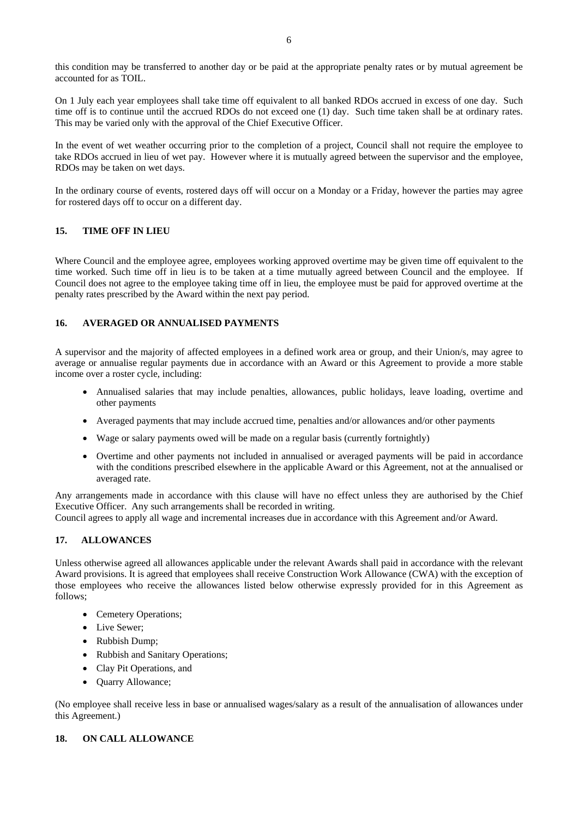this condition may be transferred to another day or be paid at the appropriate penalty rates or by mutual agreement be accounted for as TOIL.

On 1 July each year employees shall take time off equivalent to all banked RDOs accrued in excess of one day. Such time off is to continue until the accrued RDOs do not exceed one (1) day. Such time taken shall be at ordinary rates. This may be varied only with the approval of the Chief Executive Officer.

In the event of wet weather occurring prior to the completion of a project, Council shall not require the employee to take RDOs accrued in lieu of wet pay. However where it is mutually agreed between the supervisor and the employee, RDOs may be taken on wet days.

In the ordinary course of events, rostered days off will occur on a Monday or a Friday, however the parties may agree for rostered days off to occur on a different day.

# **15. TIME OFF IN LIEU**

Where Council and the employee agree, employees working approved overtime may be given time off equivalent to the time worked. Such time off in lieu is to be taken at a time mutually agreed between Council and the employee. If Council does not agree to the employee taking time off in lieu, the employee must be paid for approved overtime at the penalty rates prescribed by the Award within the next pay period.

# **16. AVERAGED OR ANNUALISED PAYMENTS**

A supervisor and the majority of affected employees in a defined work area or group, and their Union/s, may agree to average or annualise regular payments due in accordance with an Award or this Agreement to provide a more stable income over a roster cycle, including:

- Annualised salaries that may include penalties, allowances, public holidays, leave loading, overtime and other payments
- Averaged payments that may include accrued time, penalties and/or allowances and/or other payments
- Wage or salary payments owed will be made on a regular basis (currently fortnightly)
- Overtime and other payments not included in annualised or averaged payments will be paid in accordance with the conditions prescribed elsewhere in the applicable Award or this Agreement, not at the annualised or averaged rate.

Any arrangements made in accordance with this clause will have no effect unless they are authorised by the Chief Executive Officer. Any such arrangements shall be recorded in writing.

Council agrees to apply all wage and incremental increases due in accordance with this Agreement and/or Award.

# **17. ALLOWANCES**

Unless otherwise agreed all allowances applicable under the relevant Awards shall paid in accordance with the relevant Award provisions. It is agreed that employees shall receive Construction Work Allowance (CWA) with the exception of those employees who receive the allowances listed below otherwise expressly provided for in this Agreement as follows;

- Cemetery Operations;
- Live Sewer:
- Rubbish Dump;
- Rubbish and Sanitary Operations:
- Clay Pit Operations, and
- Quarry Allowance;

(No employee shall receive less in base or annualised wages/salary as a result of the annualisation of allowances under this Agreement.)

# **18. ON CALL ALLOWANCE**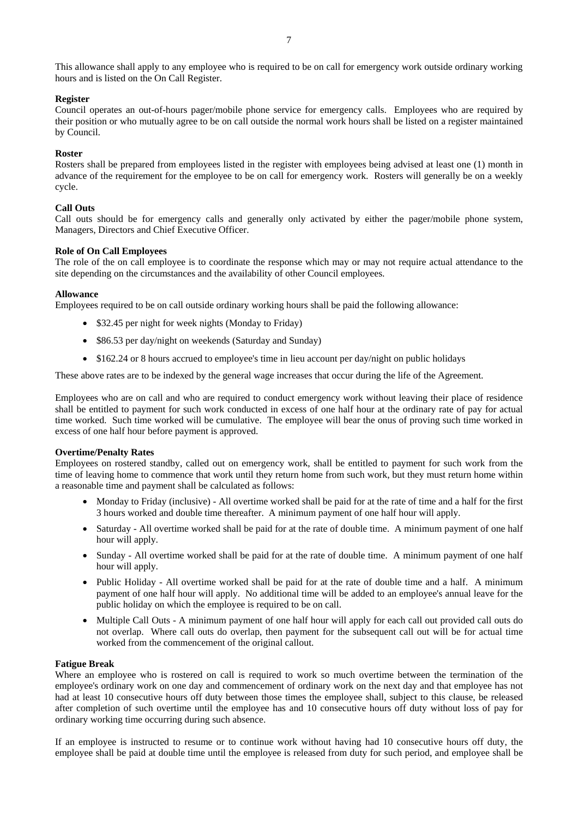### **Register**

Council operates an out-of-hours pager/mobile phone service for emergency calls. Employees who are required by their position or who mutually agree to be on call outside the normal work hours shall be listed on a register maintained by Council.

### **Roster**

Rosters shall be prepared from employees listed in the register with employees being advised at least one (1) month in advance of the requirement for the employee to be on call for emergency work. Rosters will generally be on a weekly cycle.

# **Call Outs**

Call outs should be for emergency calls and generally only activated by either the pager/mobile phone system, Managers, Directors and Chief Executive Officer.

### **Role of On Call Employees**

The role of the on call employee is to coordinate the response which may or may not require actual attendance to the site depending on the circumstances and the availability of other Council employees.

### **Allowance**

Employees required to be on call outside ordinary working hours shall be paid the following allowance:

- \$32.45 per night for week nights (Monday to Friday)
- \$86.53 per day/night on weekends (Saturday and Sunday)
- \$162.24 or 8 hours accrued to employee's time in lieu account per day/night on public holidays

These above rates are to be indexed by the general wage increases that occur during the life of the Agreement.

Employees who are on call and who are required to conduct emergency work without leaving their place of residence shall be entitled to payment for such work conducted in excess of one half hour at the ordinary rate of pay for actual time worked. Such time worked will be cumulative. The employee will bear the onus of proving such time worked in excess of one half hour before payment is approved.

# **Overtime/Penalty Rates**

Employees on rostered standby, called out on emergency work, shall be entitled to payment for such work from the time of leaving home to commence that work until they return home from such work, but they must return home within a reasonable time and payment shall be calculated as follows:

- Monday to Friday (inclusive) All overtime worked shall be paid for at the rate of time and a half for the first 3 hours worked and double time thereafter. A minimum payment of one half hour will apply.
- Saturday All overtime worked shall be paid for at the rate of double time. A minimum payment of one half hour will apply.
- Sunday All overtime worked shall be paid for at the rate of double time. A minimum payment of one half hour will apply.
- Public Holiday All overtime worked shall be paid for at the rate of double time and a half. A minimum payment of one half hour will apply. No additional time will be added to an employee's annual leave for the public holiday on which the employee is required to be on call.
- Multiple Call Outs A minimum payment of one half hour will apply for each call out provided call outs do not overlap. Where call outs do overlap, then payment for the subsequent call out will be for actual time worked from the commencement of the original callout.

#### **Fatigue Break**

Where an employee who is rostered on call is required to work so much overtime between the termination of the employee's ordinary work on one day and commencement of ordinary work on the next day and that employee has not had at least 10 consecutive hours off duty between those times the employee shall, subject to this clause, be released after completion of such overtime until the employee has and 10 consecutive hours off duty without loss of pay for ordinary working time occurring during such absence.

If an employee is instructed to resume or to continue work without having had 10 consecutive hours off duty, the employee shall be paid at double time until the employee is released from duty for such period, and employee shall be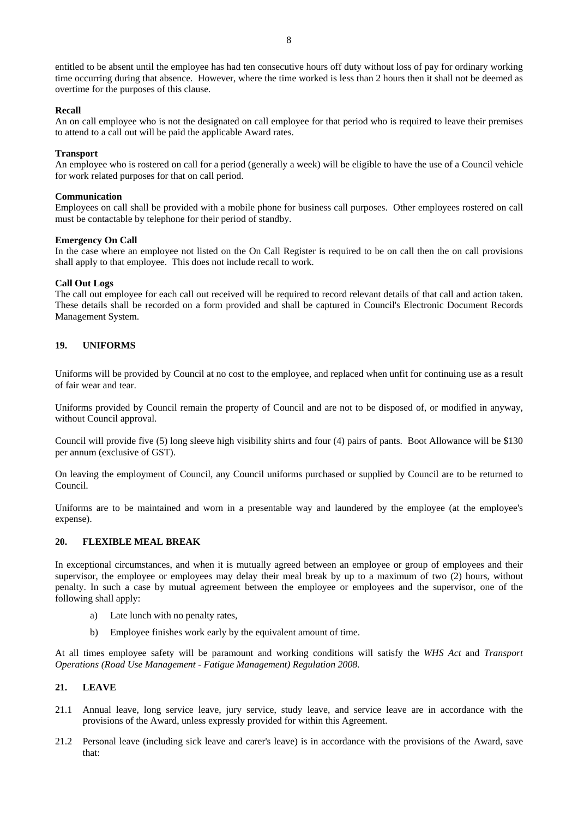entitled to be absent until the employee has had ten consecutive hours off duty without loss of pay for ordinary working time occurring during that absence. However, where the time worked is less than 2 hours then it shall not be deemed as overtime for the purposes of this clause.

#### **Recall**

An on call employee who is not the designated on call employee for that period who is required to leave their premises to attend to a call out will be paid the applicable Award rates.

#### **Transport**

An employee who is rostered on call for a period (generally a week) will be eligible to have the use of a Council vehicle for work related purposes for that on call period.

#### **Communication**

Employees on call shall be provided with a mobile phone for business call purposes. Other employees rostered on call must be contactable by telephone for their period of standby.

#### **Emergency On Call**

In the case where an employee not listed on the On Call Register is required to be on call then the on call provisions shall apply to that employee. This does not include recall to work.

#### **Call Out Logs**

The call out employee for each call out received will be required to record relevant details of that call and action taken. These details shall be recorded on a form provided and shall be captured in Council's Electronic Document Records Management System.

### **19. UNIFORMS**

Uniforms will be provided by Council at no cost to the employee, and replaced when unfit for continuing use as a result of fair wear and tear.

Uniforms provided by Council remain the property of Council and are not to be disposed of, or modified in anyway, without Council approval.

Council will provide five (5) long sleeve high visibility shirts and four (4) pairs of pants. Boot Allowance will be \$130 per annum (exclusive of GST).

On leaving the employment of Council, any Council uniforms purchased or supplied by Council are to be returned to Council.

Uniforms are to be maintained and worn in a presentable way and laundered by the employee (at the employee's expense).

# **20. FLEXIBLE MEAL BREAK**

In exceptional circumstances, and when it is mutually agreed between an employee or group of employees and their supervisor, the employee or employees may delay their meal break by up to a maximum of two (2) hours, without penalty. In such a case by mutual agreement between the employee or employees and the supervisor, one of the following shall apply:

- a) Late lunch with no penalty rates,
- b) Employee finishes work early by the equivalent amount of time.

At all times employee safety will be paramount and working conditions will satisfy the *WHS Act* and *Transport Operations (Road Use Management - Fatigue Management) Regulation 2008*.

### **21. LEAVE**

- 21.1 Annual leave, long service leave, jury service, study leave, and service leave are in accordance with the provisions of the Award, unless expressly provided for within this Agreement.
- 21.2 Personal leave (including sick leave and carer's leave) is in accordance with the provisions of the Award, save that: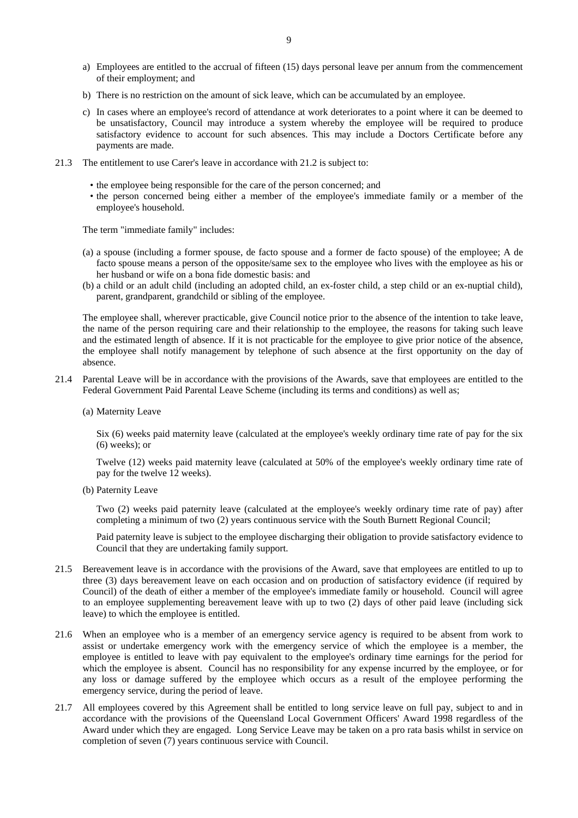- a) Employees are entitled to the accrual of fifteen (15) days personal leave per annum from the commencement of their employment; and
- b) There is no restriction on the amount of sick leave, which can be accumulated by an employee.
- c) In cases where an employee's record of attendance at work deteriorates to a point where it can be deemed to be unsatisfactory, Council may introduce a system whereby the employee will be required to produce satisfactory evidence to account for such absences. This may include a Doctors Certificate before any payments are made.
- 21.3 The entitlement to use Carer's leave in accordance with 21.2 is subject to:
	- the employee being responsible for the care of the person concerned; and
	- the person concerned being either a member of the employee's immediate family or a member of the employee's household.

The term "immediate family" includes:

- (a) a spouse (including a former spouse, de facto spouse and a former de facto spouse) of the employee; A de facto spouse means a person of the opposite/same sex to the employee who lives with the employee as his or her husband or wife on a bona fide domestic basis: and
- (b) a child or an adult child (including an adopted child, an ex-foster child, a step child or an ex-nuptial child), parent, grandparent, grandchild or sibling of the employee.

The employee shall, wherever practicable, give Council notice prior to the absence of the intention to take leave, the name of the person requiring care and their relationship to the employee, the reasons for taking such leave and the estimated length of absence. If it is not practicable for the employee to give prior notice of the absence, the employee shall notify management by telephone of such absence at the first opportunity on the day of absence.

- 21.4 Parental Leave will be in accordance with the provisions of the Awards, save that employees are entitled to the Federal Government Paid Parental Leave Scheme (including its terms and conditions) as well as;
	- (a) Maternity Leave

Six (6) weeks paid maternity leave (calculated at the employee's weekly ordinary time rate of pay for the six (6) weeks); or

Twelve (12) weeks paid maternity leave (calculated at 50% of the employee's weekly ordinary time rate of pay for the twelve 12 weeks).

(b) Paternity Leave

Two (2) weeks paid paternity leave (calculated at the employee's weekly ordinary time rate of pay) after completing a minimum of two (2) years continuous service with the South Burnett Regional Council;

Paid paternity leave is subject to the employee discharging their obligation to provide satisfactory evidence to Council that they are undertaking family support.

- 21.5 Bereavement leave is in accordance with the provisions of the Award, save that employees are entitled to up to three (3) days bereavement leave on each occasion and on production of satisfactory evidence (if required by Council) of the death of either a member of the employee's immediate family or household. Council will agree to an employee supplementing bereavement leave with up to two (2) days of other paid leave (including sick leave) to which the employee is entitled.
- 21.6 When an employee who is a member of an emergency service agency is required to be absent from work to assist or undertake emergency work with the emergency service of which the employee is a member, the employee is entitled to leave with pay equivalent to the employee's ordinary time earnings for the period for which the employee is absent. Council has no responsibility for any expense incurred by the employee, or for any loss or damage suffered by the employee which occurs as a result of the employee performing the emergency service, during the period of leave.
- 21.7 All employees covered by this Agreement shall be entitled to long service leave on full pay, subject to and in accordance with the provisions of the Queensland Local Government Officers' Award 1998 regardless of the Award under which they are engaged. Long Service Leave may be taken on a pro rata basis whilst in service on completion of seven (7) years continuous service with Council.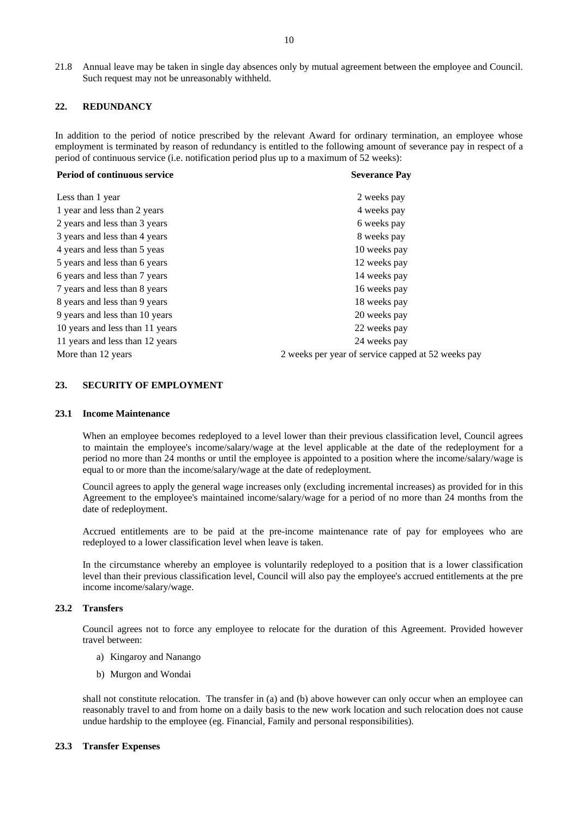21.8 Annual leave may be taken in single day absences only by mutual agreement between the employee and Council. Such request may not be unreasonably withheld.

### **22. REDUNDANCY**

In addition to the period of notice prescribed by the relevant Award for ordinary termination, an employee whose employment is terminated by reason of redundancy is entitled to the following amount of severance pay in respect of a period of continuous service (i.e. notification period plus up to a maximum of 52 weeks):

| <b>Severance Pay</b>                               |  |  |  |  |  |
|----------------------------------------------------|--|--|--|--|--|
| 2 weeks pay                                        |  |  |  |  |  |
| 4 weeks pay                                        |  |  |  |  |  |
| 6 weeks pay                                        |  |  |  |  |  |
| 8 weeks pay                                        |  |  |  |  |  |
| 10 weeks pay                                       |  |  |  |  |  |
| 12 weeks pay                                       |  |  |  |  |  |
| 14 weeks pay                                       |  |  |  |  |  |
| 16 weeks pay                                       |  |  |  |  |  |
| 18 weeks pay                                       |  |  |  |  |  |
| 20 weeks pay                                       |  |  |  |  |  |
| 22 weeks pay                                       |  |  |  |  |  |
| 24 weeks pay                                       |  |  |  |  |  |
| 2 weeks per year of service capped at 52 weeks pay |  |  |  |  |  |
|                                                    |  |  |  |  |  |

#### **23. SECURITY OF EMPLOYMENT**

#### **23.1 Income Maintenance**

When an employee becomes redeployed to a level lower than their previous classification level, Council agrees to maintain the employee's income/salary/wage at the level applicable at the date of the redeployment for a period no more than 24 months or until the employee is appointed to a position where the income/salary/wage is equal to or more than the income/salary/wage at the date of redeployment.

Council agrees to apply the general wage increases only (excluding incremental increases) as provided for in this Agreement to the employee's maintained income/salary/wage for a period of no more than 24 months from the date of redeployment.

 Accrued entitlements are to be paid at the pre-income maintenance rate of pay for employees who are redeployed to a lower classification level when leave is taken.

 In the circumstance whereby an employee is voluntarily redeployed to a position that is a lower classification level than their previous classification level, Council will also pay the employee's accrued entitlements at the pre income income/salary/wage.

#### **23.2 Transfers**

Council agrees not to force any employee to relocate for the duration of this Agreement. Provided however travel between:

- a) Kingaroy and Nanango
- b) Murgon and Wondai

shall not constitute relocation. The transfer in (a) and (b) above however can only occur when an employee can reasonably travel to and from home on a daily basis to the new work location and such relocation does not cause undue hardship to the employee (eg. Financial, Family and personal responsibilities).

#### **23.3 Transfer Expenses**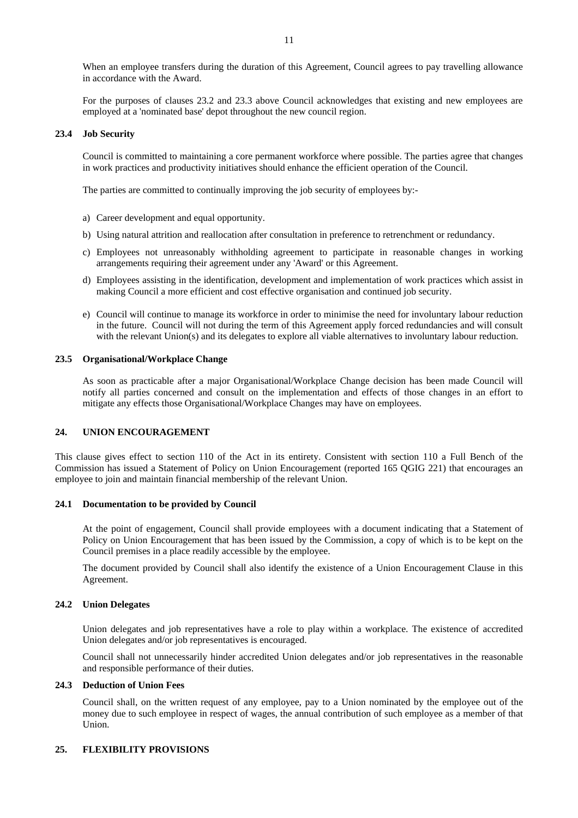When an employee transfers during the duration of this Agreement, Council agrees to pay travelling allowance in accordance with the Award.

For the purposes of clauses 23.2 and 23.3 above Council acknowledges that existing and new employees are employed at a 'nominated base' depot throughout the new council region.

#### **23.4 Job Security**

Council is committed to maintaining a core permanent workforce where possible. The parties agree that changes in work practices and productivity initiatives should enhance the efficient operation of the Council.

The parties are committed to continually improving the job security of employees by:-

- a) Career development and equal opportunity.
- b) Using natural attrition and reallocation after consultation in preference to retrenchment or redundancy.
- c) Employees not unreasonably withholding agreement to participate in reasonable changes in working arrangements requiring their agreement under any 'Award' or this Agreement.
- d) Employees assisting in the identification, development and implementation of work practices which assist in making Council a more efficient and cost effective organisation and continued job security.
- e) Council will continue to manage its workforce in order to minimise the need for involuntary labour reduction in the future. Council will not during the term of this Agreement apply forced redundancies and will consult with the relevant Union(s) and its delegates to explore all viable alternatives to involuntary labour reduction.

#### **23.5 Organisational/Workplace Change**

As soon as practicable after a major Organisational/Workplace Change decision has been made Council will notify all parties concerned and consult on the implementation and effects of those changes in an effort to mitigate any effects those Organisational/Workplace Changes may have on employees.

# **24. UNION ENCOURAGEMENT**

This clause gives effect to section 110 of the Act in its entirety. Consistent with section 110 a Full Bench of the Commission has issued a Statement of Policy on Union Encouragement (reported 165 QGIG 221) that encourages an employee to join and maintain financial membership of the relevant Union.

#### **24.1 Documentation to be provided by Council**

At the point of engagement, Council shall provide employees with a document indicating that a Statement of Policy on Union Encouragement that has been issued by the Commission, a copy of which is to be kept on the Council premises in a place readily accessible by the employee.

The document provided by Council shall also identify the existence of a Union Encouragement Clause in this Agreement.

#### **24.2 Union Delegates**

Union delegates and job representatives have a role to play within a workplace. The existence of accredited Union delegates and/or job representatives is encouraged.

Council shall not unnecessarily hinder accredited Union delegates and/or job representatives in the reasonable and responsible performance of their duties.

## **24.3 Deduction of Union Fees**

Council shall, on the written request of any employee, pay to a Union nominated by the employee out of the money due to such employee in respect of wages, the annual contribution of such employee as a member of that Union.

#### **25. FLEXIBILITY PROVISIONS**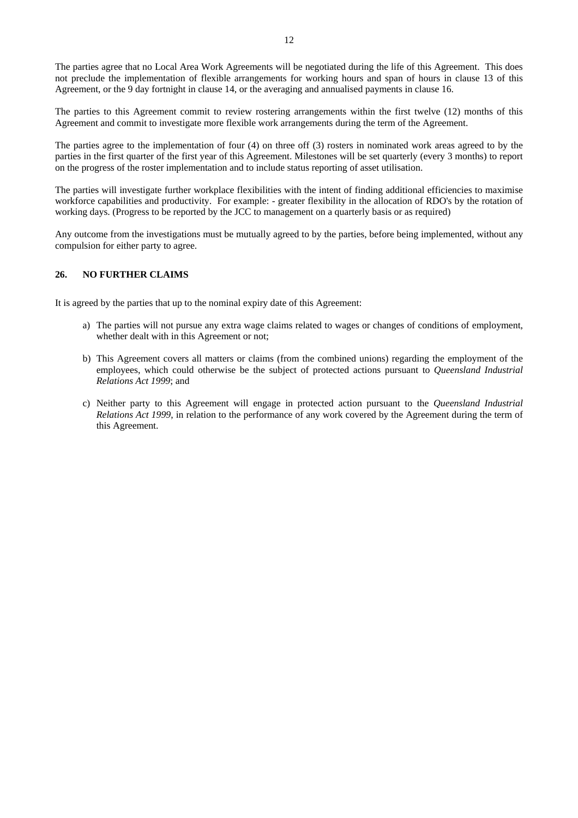The parties to this Agreement commit to review rostering arrangements within the first twelve (12) months of this Agreement and commit to investigate more flexible work arrangements during the term of the Agreement.

The parties agree to the implementation of four (4) on three off (3) rosters in nominated work areas agreed to by the parties in the first quarter of the first year of this Agreement. Milestones will be set quarterly (every 3 months) to report on the progress of the roster implementation and to include status reporting of asset utilisation.

The parties will investigate further workplace flexibilities with the intent of finding additional efficiencies to maximise workforce capabilities and productivity. For example: - greater flexibility in the allocation of RDO's by the rotation of working days. (Progress to be reported by the JCC to management on a quarterly basis or as required)

Any outcome from the investigations must be mutually agreed to by the parties, before being implemented, without any compulsion for either party to agree.

# **26. NO FURTHER CLAIMS**

It is agreed by the parties that up to the nominal expiry date of this Agreement:

- a) The parties will not pursue any extra wage claims related to wages or changes of conditions of employment, whether dealt with in this Agreement or not:
- b) This Agreement covers all matters or claims (from the combined unions) regarding the employment of the employees, which could otherwise be the subject of protected actions pursuant to *Queensland Industrial Relations Act 1999*; and
- c) Neither party to this Agreement will engage in protected action pursuant to the *Queensland Industrial Relations Act 1999*, in relation to the performance of any work covered by the Agreement during the term of this Agreement.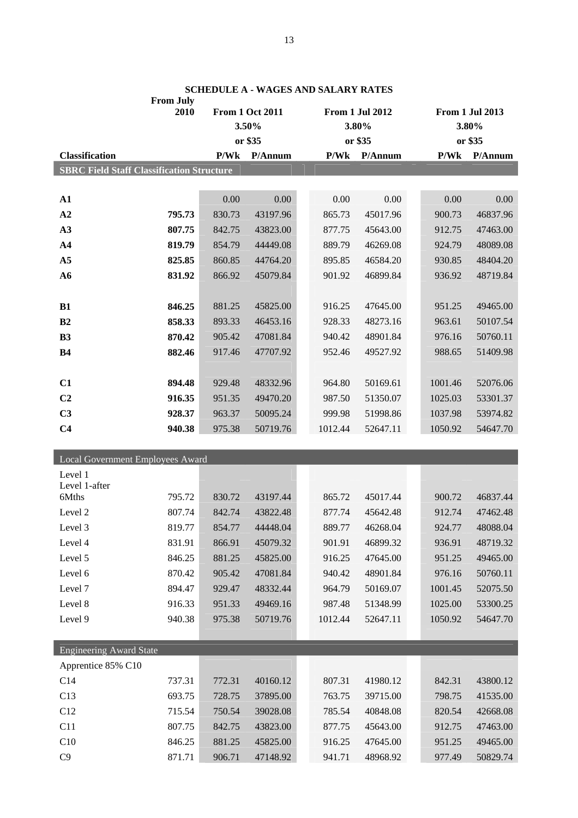|                                                  | <b>From July</b> |                        |          |                 |          |  |                 |          |  |
|--------------------------------------------------|------------------|------------------------|----------|-----------------|----------|--|-----------------|----------|--|
| 2010                                             |                  | <b>From 1 Oct 2011</b> |          | From 1 Jul 2012 |          |  | From 1 Jul 2013 |          |  |
|                                                  |                  | 3.50%                  |          | 3.80%           |          |  | 3.80%           |          |  |
|                                                  |                  |                        | or \$35  |                 | or \$35  |  |                 | or \$35  |  |
| <b>Classification</b>                            |                  | P/Wk                   | P/Annum  | P/Wk            | P/Annum  |  | P/Wk            | P/Annum  |  |
| <b>SBRC Field Staff Classification Structure</b> |                  |                        |          |                 |          |  |                 |          |  |
|                                                  |                  |                        |          |                 |          |  |                 |          |  |
| ${\bf A1}$                                       |                  | 0.00                   | 0.00     | 0.00            | 0.00     |  | 0.00            | 0.00     |  |
| A2                                               | 795.73           | 830.73                 | 43197.96 | 865.73          | 45017.96 |  | 900.73          | 46837.96 |  |
| A3                                               | 807.75           | 842.75                 | 43823.00 | 877.75          | 45643.00 |  | 912.75          | 47463.00 |  |
| A <sub>4</sub>                                   | 819.79           | 854.79                 | 44449.08 | 889.79          | 46269.08 |  | 924.79          | 48089.08 |  |
| A <sub>5</sub>                                   | 825.85           | 860.85                 | 44764.20 | 895.85          | 46584.20 |  | 930.85          | 48404.20 |  |
| A6                                               | 831.92           | 866.92                 | 45079.84 | 901.92          | 46899.84 |  | 936.92          | 48719.84 |  |
|                                                  |                  |                        |          |                 |          |  |                 |          |  |
| B1                                               | 846.25           | 881.25                 | 45825.00 | 916.25          | 47645.00 |  | 951.25          | 49465.00 |  |
| B2                                               | 858.33           | 893.33                 | 46453.16 | 928.33          | 48273.16 |  | 963.61          | 50107.54 |  |
| <b>B3</b>                                        | 870.42           | 905.42                 | 47081.84 | 940.42          | 48901.84 |  | 976.16          | 50760.11 |  |
| B <sub>4</sub>                                   | 882.46           | 917.46                 | 47707.92 | 952.46          | 49527.92 |  | 988.65          | 51409.98 |  |
|                                                  |                  |                        |          |                 |          |  |                 |          |  |
| C1                                               | 894.48           | 929.48                 | 48332.96 | 964.80          | 50169.61 |  | 1001.46         | 52076.06 |  |
| C <sub>2</sub>                                   | 916.35           | 951.35                 | 49470.20 | 987.50          | 51350.07 |  | 1025.03         | 53301.37 |  |
| C <sub>3</sub>                                   | 928.37           | 963.37                 | 50095.24 | 999.98          | 51998.86 |  | 1037.98         | 53974.82 |  |
| C <sub>4</sub>                                   | 940.38           | 975.38                 | 50719.76 | 1012.44         | 52647.11 |  | 1050.92         | 54647.70 |  |
|                                                  |                  |                        |          |                 |          |  |                 |          |  |
| Local Government Employees Award                 |                  |                        |          |                 |          |  |                 |          |  |
| Level 1                                          |                  |                        |          |                 |          |  |                 |          |  |
| Level 1-after                                    |                  |                        |          |                 |          |  |                 |          |  |
| 6Mths                                            | 795.72           | 830.72                 | 43197.44 | 865.72          | 45017.44 |  | 900.72          | 46837.44 |  |
| Level 2                                          | 807.74           | 842.74                 | 43822.48 | 877.74          | 45642.48 |  | 912.74          | 47462.48 |  |
| Level 3                                          | 819.77           | 854.77                 | 44448.04 | 889.77          | 46268.04 |  | 924.77          | 48088.04 |  |
| Level 4                                          | 831.91           | 866.91                 | 45079.32 | 901.91          | 46899.32 |  | 936.91          | 48719.32 |  |
| Level 5                                          | 846.25           | 881.25                 | 45825.00 | 916.25          | 47645.00 |  | 951.25          | 49465.00 |  |
| Level 6                                          | 870.42           | 905.42                 | 47081.84 | 940.42          | 48901.84 |  | 976.16          | 50760.11 |  |
| Level 7                                          | 894.47           | 929.47                 | 48332.44 | 964.79          | 50169.07 |  | 1001.45         | 52075.50 |  |
| Level 8                                          | 916.33           | 951.33                 | 49469.16 | 987.48          | 51348.99 |  | 1025.00         | 53300.25 |  |
| Level 9                                          | 940.38           | 975.38                 | 50719.76 | 1012.44         | 52647.11 |  | 1050.92         | 54647.70 |  |
|                                                  |                  |                        |          |                 |          |  |                 |          |  |
| <b>Engineering Award State</b>                   |                  |                        |          |                 |          |  |                 |          |  |
| Apprentice 85% C10                               |                  |                        |          |                 |          |  |                 |          |  |
| C14                                              | 737.31           | 772.31                 | 40160.12 | 807.31          | 41980.12 |  | 842.31          | 43800.12 |  |
| C13                                              | 693.75           | 728.75                 | 37895.00 | 763.75          | 39715.00 |  | 798.75          | 41535.00 |  |
| C12                                              | 715.54           | 750.54                 | 39028.08 | 785.54          | 40848.08 |  | 820.54          | 42668.08 |  |
| C11                                              | 807.75           | 842.75                 | 43823.00 | 877.75          | 45643.00 |  | 912.75          | 47463.00 |  |
| C10                                              | 846.25           | 881.25                 | 45825.00 | 916.25          | 47645.00 |  | 951.25          | 49465.00 |  |
| C9                                               | 871.71           | 906.71                 | 47148.92 | 941.71          | 48968.92 |  | 977.49          | 50829.74 |  |

**SCHEDULE A - WAGES AND SALARY RATES**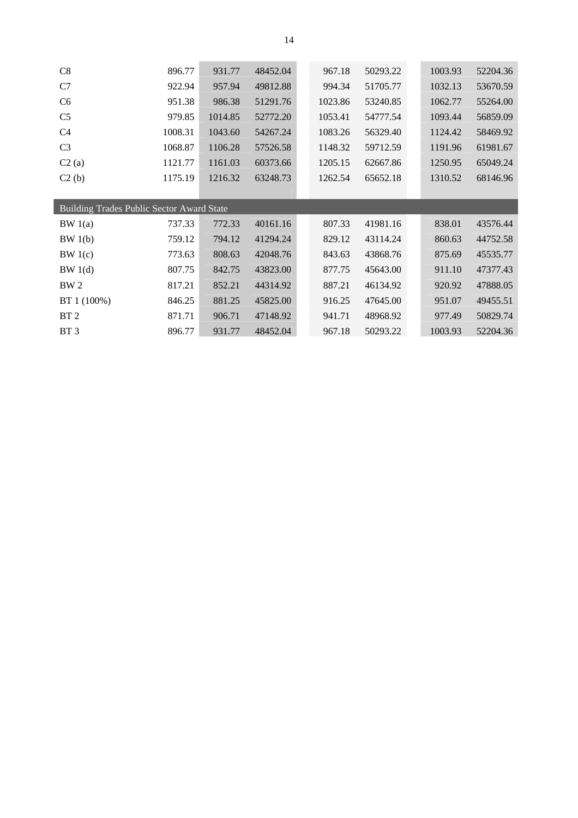| C8              | 896.77                                    | 931.77  | 48452.04 |  | 967.18  | 50293.22 |  | 1003.93 | 52204.36 |
|-----------------|-------------------------------------------|---------|----------|--|---------|----------|--|---------|----------|
| C7              | 922.94                                    | 957.94  | 49812.88 |  | 994.34  | 51705.77 |  | 1032.13 | 53670.59 |
| C <sub>6</sub>  | 951.38                                    | 986.38  | 51291.76 |  | 1023.86 | 53240.85 |  | 1062.77 | 55264.00 |
| C <sub>5</sub>  | 979.85                                    | 1014.85 | 52772.20 |  | 1053.41 | 54777.54 |  | 1093.44 | 56859.09 |
| C <sub>4</sub>  | 1008.31                                   | 1043.60 | 54267.24 |  | 1083.26 | 56329.40 |  | 1124.42 | 58469.92 |
| C <sub>3</sub>  | 1068.87                                   | 1106.28 | 57526.58 |  | 1148.32 | 59712.59 |  | 1191.96 | 61981.67 |
| C2(a)           | 1121.77                                   | 1161.03 | 60373.66 |  | 1205.15 | 62667.86 |  | 1250.95 | 65049.24 |
| C2(b)           | 1175.19                                   | 1216.32 | 63248.73 |  | 1262.54 | 65652.18 |  | 1310.52 | 68146.96 |
|                 |                                           |         |          |  |         |          |  |         |          |
|                 | Building Trades Public Sector Award State |         |          |  |         |          |  |         |          |
|                 |                                           |         |          |  |         |          |  |         |          |
| BW1(a)          | 737.33                                    | 772.33  | 40161.16 |  | 807.33  | 41981.16 |  | 838.01  | 43576.44 |
| BW 1(b)         | 759.12                                    | 794.12  | 41294.24 |  | 829.12  | 43114.24 |  | 860.63  | 44752.58 |
| BW1(c)          | 773.63                                    | 808.63  | 42048.76 |  | 843.63  | 43868.76 |  | 875.69  | 45535.77 |
| BW 1(d)         | 807.75                                    | 842.75  | 43823.00 |  | 877.75  | 45643.00 |  | 911.10  | 47377.43 |
| BW <sub>2</sub> | 817.21                                    | 852.21  | 44314.92 |  | 887.21  | 46134.92 |  | 920.92  | 47888.05 |
| BT 1 (100%)     | 846.25                                    | 881.25  | 45825.00 |  | 916.25  | 47645.00 |  | 951.07  | 49455.51 |
| BT <sub>2</sub> | 871.71                                    | 906.71  | 47148.92 |  | 941.71  | 48968.92 |  | 977.49  | 50829.74 |